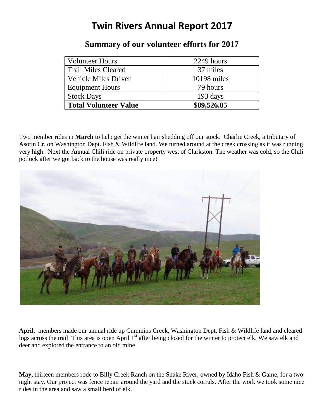## **Twin Rivers Annual Report 2017**

| <b>Volunteer Hours</b>       | 2249 hours  |
|------------------------------|-------------|
| <b>Trail Miles Cleared</b>   | 37 miles    |
| <b>Vehicle Miles Driven</b>  | 10198 miles |
| <b>Equipment Hours</b>       | 79 hours    |
| <b>Stock Days</b>            | 193 days    |
| <b>Total Volunteer Value</b> | \$89,526.85 |

## **Summary of our volunteer efforts for 2017**

Two member rides in **March** to help get the winter hair shedding off our stock. Charlie Creek, a tributary of Asotin Cr. on Washington Dept. Fish & Wildlife land. We turned around at the creek crossing as it was running very high. Next the Annual Chili ride on private property west of Clarkston. The weather was cold, so the Chili potluck after we got back to the house was really nice!



**April,** members made our annual ride up Cummins Creek, Washington Dept. Fish & Wildlife land and cleared logs across the trail This area is open April 1<sup>st</sup> after being closed for the winter to protect elk. We saw elk and deer and explored the entrance to an old mine.

**May,** thirteen members rode to Billy Creek Ranch on the Snake River, owned by Idaho Fish & Game, for a two night stay. Our project was fence repair around the yard and the stock corrals. After the work we took some nice rides in the area and saw a small herd of elk.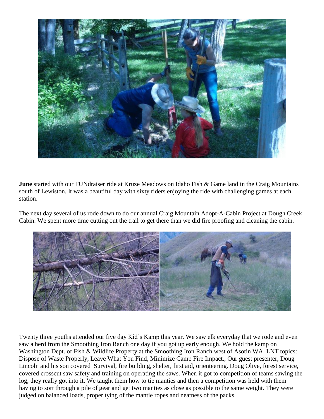

**June** started with our FUNdraiser ride at Kruze Meadows on Idaho Fish & Game land in the Craig Mountains south of Lewiston. It was a beautiful day with sixty riders enjoying the ride with challenging games at each station.

The next day several of us rode down to do our annual Craig Mountain Adopt-A-Cabin Project at Dough Creek Cabin. We spent more time cutting out the trail to get there than we did fire proofing and cleaning the cabin.



Twenty three youths attended our five day Kid's Kamp this year. We saw elk everyday that we rode and even saw a herd from the Smoothing Iron Ranch one day if you got up early enough. We hold the kamp on Washington Dept. of Fish & Wildlife Property at the Smoothing Iron Ranch west of Asotin WA. LNT topics: Dispose of Waste Properly, Leave What You Find, Minimize Camp Fire Impact., Our guest presenter, Doug Lincoln and his son covered Survival, fire building, shelter, first aid, orienteering. Doug Olive, forest service, covered crosscut saw safety and training on operating the saws. When it got to competition of teams sawing the log, they really got into it. We taught them how to tie manties and then a competition was held with them having to sort through a pile of gear and get two manties as close as possible to the same weight. They were judged on balanced loads, proper tying of the mantie ropes and neatness of the packs.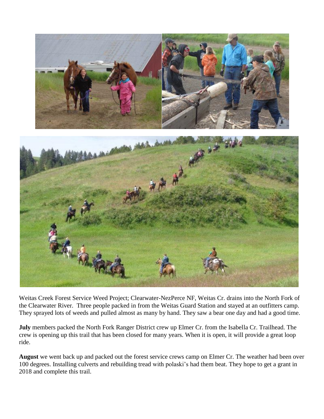

Weitas Creek Forest Service Weed Project; Clearwater-NezPerce NF, Weitas Cr. drains into the North Fork of the Clearwater River. Three people packed in from the Weitas Guard Station and stayed at an outfitters camp. They sprayed lots of weeds and pulled almost as many by hand. They saw a bear one day and had a good time.

**July** members packed the North Fork Ranger District crew up Elmer Cr. from the Isabella Cr. Trailhead. The crew is opening up this trail that has been closed for many years. When it is open, it will provide a great loop ride.

**August** we went back up and packed out the forest service crews camp on Elmer Cr. The weather had been over 100 degrees. Installing culverts and rebuilding tread with polaski's had them beat. They hope to get a grant in 2018 and complete this trail.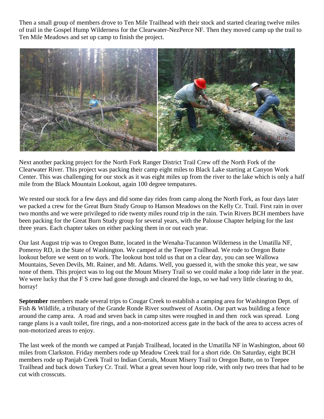Then a small group of members drove to Ten Mile Trailhead with their stock and started clearing twelve miles of trail in the Gospel Hump Wilderness for the Clearwater-NezPerce NF. Then they moved camp up the trail to Ten Mile Meadows and set up camp to finish the project.



Next another packing project for the North Fork Ranger District Trail Crew off the North Fork of the Clearwater River. This project was packing their camp eight miles to Black Lake starting at Canyon Work Center. This was challenging for our stock as it was eight miles up from the river to the lake which is only a half mile from the Black Mountain Lookout, again 100 degree tempatures.

We rested our stock for a few days and did some day rides from camp along the North Fork, as four days later we packed a crew for the Great Burn Study Group to Hanson Meadows on the Kelly Cr. Trail. First rain in over two months and we were privileged to ride twenty miles round trip in the rain. Twin Rivers BCH members have been packing for the Great Burn Study group for several years, with the Palouse Chapter helping for the last three years. Each chapter takes on either packing them in or out each year.

Our last August trip was to Oregon Butte, located in the Wenaha-Tucannon Wilderness in the Umatilla NF, Pomeroy RD, in the State of Washington. We camped at the Teepee Trailhead. We rode to Oregon Butte lookout before we went on to work. The lookout host told us that on a clear day, you can see Wallowa Mountains, Seven Devils, Mt. Rainer, and Mt. Adams. Well, you guessed it, with the smoke this year, we saw none of them. This project was to log out the Mount Misery Trail so we could make a loop ride later in the year. We were lucky that the F S crew had gone through and cleared the logs, so we had very little clearing to do, horray!

**September** members made several trips to Cougar Creek to establish a camping area for Washington Dept. of Fish & Wildlife, a tributary of the Grande Ronde River southwest of Asotin. Our part was building a fence around the camp area. A road and seven back in camp sites were roughed in and then rock was spread. Long range plans is a vault toilet, fire rings, and a non-motorized access gate in the back of the area to access acres of non-motorized areas to enjoy.

The last week of the month we camped at Panjab Trailhead, located in the Umatilla NF in Washington, about 60 miles from Clarkston. Friday members rode up Meadow Creek trail for a short ride. On Saturday, eight BCH members rode up Panjab Creek Trail to Indian Corrals, Mount Misery Trail to Oregon Butte, on to Teepee Trailhead and back down Turkey Cr. Trail. What a great seven hour loop ride, with only two trees that had to be cut with crosscuts.